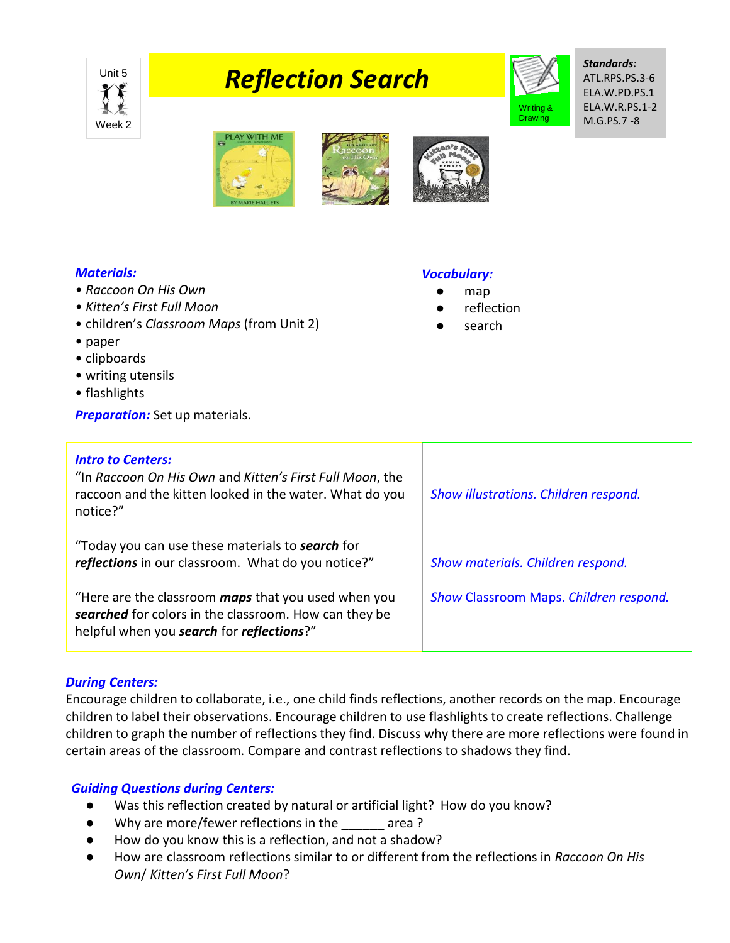

# **Position Search**



*Standards:* ATL.RPS.PS.3-6 ELA.W.PD.PS.1 ELA.W.R.PS.1-2 M.G.PS.7 -8



## *Materials:*

- *Raccoon On His Own*
- *Kitten's First Full Moon*
- children's *Classroom Maps* (from Unit 2)
- paper
- clipboards
- writing utensils
- flashlights
- **Preparation:** Set up materials.

#### *Vocabulary:*

- map
- **reflection**
- search

| <b>Intro to Centers:</b><br>"In Raccoon On His Own and Kitten's First Full Moon, the<br>raccoon and the kitten looked in the water. What do you<br>notice?"      | Show illustrations. Children respond.  |
|------------------------------------------------------------------------------------------------------------------------------------------------------------------|----------------------------------------|
| "Today you can use these materials to <b>search</b> for<br>reflections in our classroom. What do you notice?"                                                    | Show materials. Children respond.      |
| "Here are the classroom <b>maps</b> that you used when you<br>searched for colors in the classroom. How can they be<br>helpful when you search for reflections?" | Show Classroom Maps. Children respond. |

### *During Centers:*

Encourage children to collaborate, i.e., one child finds reflections, another records on the map. Encourage children to label their observations. Encourage children to use flashlights to create reflections. Challenge children to graph the number of reflections they find. Discuss why there are more reflections were found in certain areas of the classroom. Compare and contrast reflections to shadows they find.

## *Guiding Questions during Centers:*

- Was this reflection created by natural or artificial light? How do you know?
- Why are more/fewer reflections in the \_\_\_\_\_\_ area ?
- How do you know this is a reflection, and not a shadow?
- How are classroom reflections similar to or different from the reflections in *Raccoon On His Own*/ *Kitten's First Full Moon*?